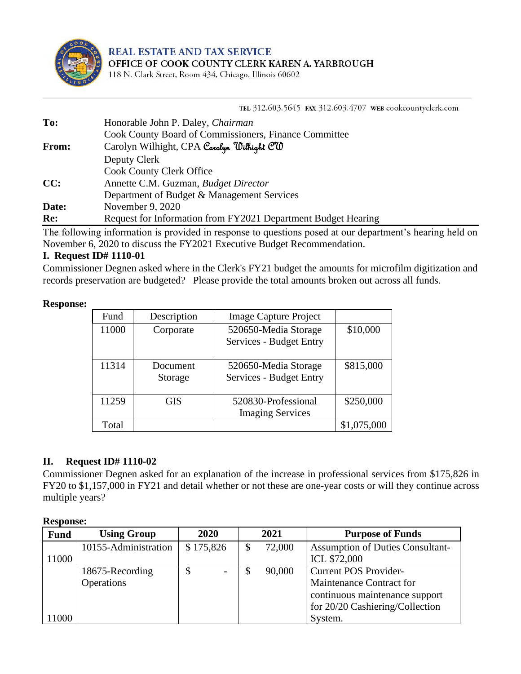REAL ESTATE AND TAX SERVICE



118 N. Clark Street, Room 434, Chicago, Illinois 60602

TEL 312.603.5645 FAX 312.603.4707 WEB cookcountyclerk.com

| To:   | Honorable John P. Daley, Chairman                                                                  |
|-------|----------------------------------------------------------------------------------------------------|
| From: | Cook County Board of Commissioners, Finance Committee<br>Carolyn Wilhight, CPA Carolyn Wilhight CW |
|       | Deputy Clerk                                                                                       |
|       | <b>Cook County Clerk Office</b>                                                                    |
| CC:   | Annette C.M. Guzman, Budget Director                                                               |
|       | Department of Budget & Management Services                                                         |
| Date: | November 9, 2020                                                                                   |
| Re:   | Request for Information from FY2021 Department Budget Hearing                                      |

The following information is provided in response to questions posed at our department's hearing held on November 6, 2020 to discuss the FY2021 Executive Budget Recommendation.

# **I. Request ID# 1110-01**

Commissioner Degnen asked where in the Clerk's FY21 budget the amounts for microfilm digitization and records preservation are budgeted? Please provide the total amounts broken out across all funds.

#### **Response:**

| Fund  | Description         | <b>Image Capture Project</b>                    |             |
|-------|---------------------|-------------------------------------------------|-------------|
| 11000 | Corporate           | 520650-Media Storage<br>Services - Budget Entry | \$10,000    |
| 11314 | Document<br>Storage | 520650-Media Storage<br>Services - Budget Entry | \$815,000   |
| 11259 | GIS                 | 520830-Professional<br><b>Imaging Services</b>  | \$250,000   |
| Total |                     |                                                 | \$1,075,000 |

# **II. Request ID# 1110-02**

Commissioner Degnen asked for an explanation of the increase in professional services from \$175,826 in FY20 to \$1,157,000 in FY21 and detail whether or not these are one-year costs or will they continue across multiple years?

| <b>Fund</b> | <b>Using Group</b>   | 2020      | 2021   | <b>Purpose of Funds</b>                 |
|-------------|----------------------|-----------|--------|-----------------------------------------|
|             | 10155-Administration | \$175,826 | 72,000 | <b>Assumption of Duties Consultant-</b> |
| 11000       |                      |           |        | ICL \$72,000                            |
|             | 18675-Recording      | \$        | 90,000 | <b>Current POS Provider-</b>            |
|             | Operations           |           |        | Maintenance Contract for                |
|             |                      |           |        | continuous maintenance support          |
|             |                      |           |        | for 20/20 Cashiering/Collection         |
| 11000       |                      |           |        | System.                                 |

#### **Response:**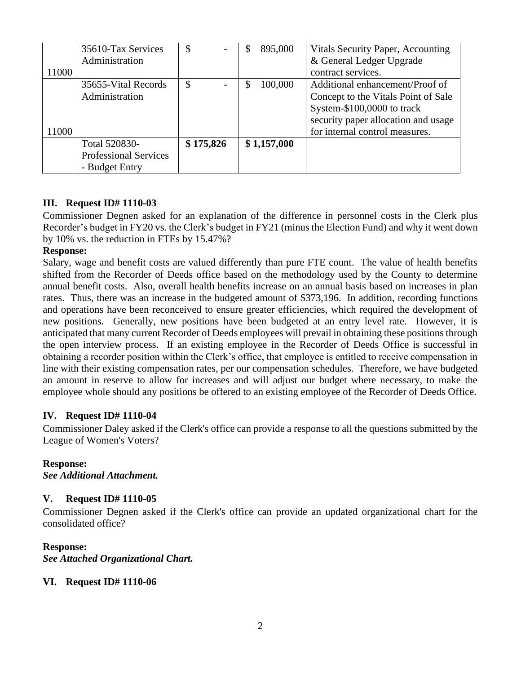|       | 35610-Tax Services           | \$        | 895,000     | <b>Vitals Security Paper, Accounting</b> |
|-------|------------------------------|-----------|-------------|------------------------------------------|
|       | Administration               |           |             | & General Ledger Upgrade                 |
| 11000 |                              |           |             | contract services.                       |
|       | 35655-Vital Records          | \$        | 100,000     | Additional enhancement/Proof of          |
|       | Administration               |           |             | Concept to the Vitals Point of Sale      |
|       |                              |           |             | System-\$100,0000 to track               |
|       |                              |           |             | security paper allocation and usage      |
| 11000 |                              |           |             | for internal control measures.           |
|       | Total 520830-                | \$175,826 | \$1,157,000 |                                          |
|       | <b>Professional Services</b> |           |             |                                          |
|       | - Budget Entry               |           |             |                                          |

# **III. Request ID# 1110-03**

Commissioner Degnen asked for an explanation of the difference in personnel costs in the Clerk plus Recorder's budget in FY20 vs. the Clerk's budget in FY21 (minus the Election Fund) and why it went down by 10% vs. the reduction in FTEs by 15.47%?

#### **Response:**

Salary, wage and benefit costs are valued differently than pure FTE count. The value of health benefits shifted from the Recorder of Deeds office based on the methodology used by the County to determine annual benefit costs. Also, overall health benefits increase on an annual basis based on increases in plan rates. Thus, there was an increase in the budgeted amount of \$373,196. In addition, recording functions and operations have been reconceived to ensure greater efficiencies, which required the development of new positions. Generally, new positions have been budgeted at an entry level rate. However, it is anticipated that many current Recorder of Deeds employees will prevail in obtaining these positions through the open interview process. If an existing employee in the Recorder of Deeds Office is successful in obtaining a recorder position within the Clerk's office, that employee is entitled to receive compensation in line with their existing compensation rates, per our compensation schedules. Therefore, we have budgeted an amount in reserve to allow for increases and will adjust our budget where necessary, to make the employee whole should any positions be offered to an existing employee of the Recorder of Deeds Office.

# **IV. Request ID# 1110-04**

Commissioner Daley asked if the Clerk's office can provide a response to all the questions submitted by the League of Women's Voters?

#### **Response:**

*See Additional Attachment.*

#### **V. Request ID# 1110-05**

Commissioner Degnen asked if the Clerk's office can provide an updated organizational chart for the consolidated office?

#### **Response:**

*See Attached Organizational Chart.*

#### **VI. Request ID# 1110-06**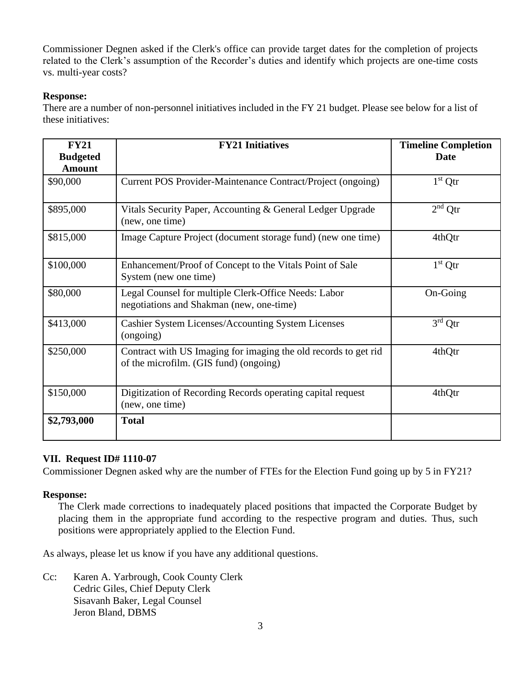Commissioner Degnen asked if the Clerk's office can provide target dates for the completion of projects related to the Clerk's assumption of the Recorder's duties and identify which projects are one-time costs vs. multi-year costs?

# **Response:**

There are a number of non-personnel initiatives included in the FY 21 budget. Please see below for a list of these initiatives:

| <b>FY21</b><br><b>Budgeted</b><br><b>Amount</b> | <b>FY21 Initiatives</b>                                                                                   | <b>Timeline Completion</b><br><b>Date</b> |
|-------------------------------------------------|-----------------------------------------------------------------------------------------------------------|-------------------------------------------|
| \$90,000                                        | Current POS Provider-Maintenance Contract/Project (ongoing)                                               | $1st$ Qtr                                 |
| \$895,000                                       | Vitals Security Paper, Accounting & General Ledger Upgrade<br>(new, one time)                             | $2nd$ Qtr                                 |
| \$815,000                                       | Image Capture Project (document storage fund) (new one time)                                              | 4thQtr                                    |
| \$100,000                                       | Enhancement/Proof of Concept to the Vitals Point of Sale<br>System (new one time)                         | $1st$ Qtr                                 |
| \$80,000                                        | Legal Counsel for multiple Clerk-Office Needs: Labor<br>negotiations and Shakman (new, one-time)          | On-Going                                  |
| \$413,000                                       | Cashier System Licenses/Accounting System Licenses<br>(ongoing)                                           | $3rd$ Qtr                                 |
| \$250,000                                       | Contract with US Imaging for imaging the old records to get rid<br>of the microfilm. (GIS fund) (ongoing) | 4thQtr                                    |
| \$150,000                                       | Digitization of Recording Records operating capital request<br>(new, one time)                            | 4thQtr                                    |
| \$2,793,000                                     | <b>Total</b>                                                                                              |                                           |

# **VII. Request ID# 1110-07**

Commissioner Degnen asked why are the number of FTEs for the Election Fund going up by 5 in FY21?

# **Response:**

The Clerk made corrections to inadequately placed positions that impacted the Corporate Budget by placing them in the appropriate fund according to the respective program and duties. Thus, such positions were appropriately applied to the Election Fund.

As always, please let us know if you have any additional questions.

Cc: Karen A. Yarbrough, Cook County Clerk Cedric Giles, Chief Deputy Clerk Sisavanh Baker, Legal Counsel Jeron Bland, DBMS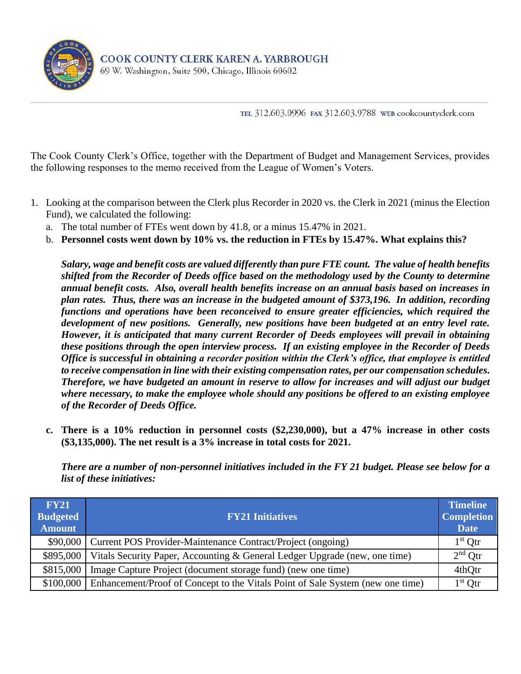

69 W. Washington, Suite 500, Chicago, Illinois 60602

TEL 312.603.0996 FAX 312.603.9788 WEB cookcountyclerk.com

The Cook County Clerk's Office, together with the Department of Budget and Management Services, provides the following responses to the memo received from the League of Women's Voters.

- 1. Looking at the comparison between the Clerk plus Recorder in 2020 vs. the Clerk in 2021 (minus the Election Fund), we calculated the following:
	- a. The total number of FTEs went down by 41.8, or a minus 15.47% in 2021.
	- b. **Personnel costs went down by 10% vs. the reduction in FTEs by 15.47%. What explains this?**

*Salary, wage and benefit costs are valued differently than pure FTE count. The value of health benefits shifted from the Recorder of Deeds office based on the methodology used by the County to determine annual benefit costs. Also, overall health benefits increase on an annual basis based on increases in plan rates. Thus, there was an increase in the budgeted amount of \$373,196. In addition, recording functions and operations have been reconceived to ensure greater efficiencies, which required the development of new positions. Generally, new positions have been budgeted at an entry level rate. However, it is anticipated that many current Recorder of Deeds employees will prevail in obtaining these positions through the open interview process. If an existing employee in the Recorder of Deeds Office is successful in obtaining a recorder position within the Clerk's office, that employee is entitled to receive compensation in line with their existing compensation rates, per our compensation schedules. Therefore, we have budgeted an amount in reserve to allow for increases and will adjust our budget where necessary, to make the employee whole should any positions be offered to an existing employee of the Recorder of Deeds Office.*

**c. There is a 10% reduction in personnel costs (\$2,230,000), but a 47% increase in other costs (\$3,135,000). The net result is a 3% increase in total costs for 2021.** 

*There are a number of non-personnel initiatives included in the FY 21 budget. Please see below for a list of these initiatives:*

| <b>FY21</b><br><b>Budgeted</b><br><b>Amount</b> | <b>FY21 Initiatives</b>                                                                    | <b>Timeline</b><br><b>Completion</b><br><b>Date</b> |
|-------------------------------------------------|--------------------------------------------------------------------------------------------|-----------------------------------------------------|
| \$90,000                                        | Current POS Provider-Maintenance Contract/Project (ongoing)                                | $1st$ Otr                                           |
| \$895,000                                       | Vitals Security Paper, Accounting & General Ledger Upgrade (new, one time)                 | $2nd$ Otr                                           |
| \$815,000                                       | Image Capture Project (document storage fund) (new one time)                               | 4thQtr                                              |
|                                                 | \$100,000   Enhancement/Proof of Concept to the Vitals Point of Sale System (new one time) | $1st$ Otr                                           |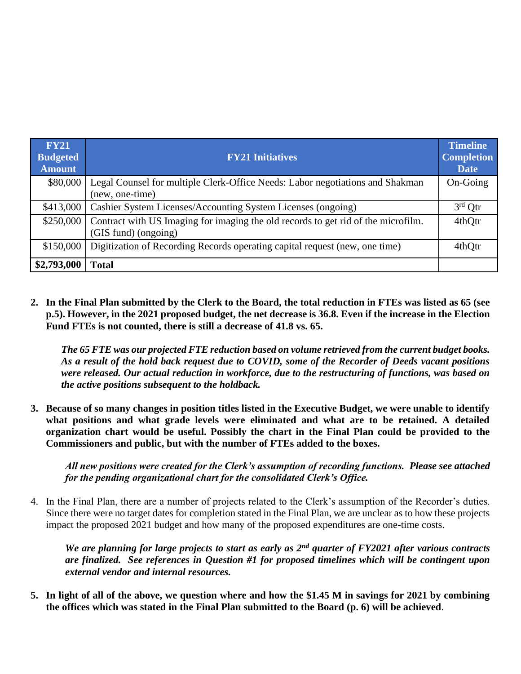| <b>FY21</b><br><b>Budgeted</b><br><b>Amount</b> | <b>FY21 Initiatives</b>                                                                                   | <b>Timeline</b><br><b>Completion</b><br><b>Date</b> |
|-------------------------------------------------|-----------------------------------------------------------------------------------------------------------|-----------------------------------------------------|
| \$80,000                                        | Legal Counsel for multiple Clerk-Office Needs: Labor negotiations and Shakman<br>(new, one-time)          | On-Going                                            |
| \$413,000                                       | Cashier System Licenses/Accounting System Licenses (ongoing)                                              | $3rd$ Qtr                                           |
| \$250,000                                       | Contract with US Imaging for imaging the old records to get rid of the microfilm.<br>(GIS fund) (ongoing) | 4thQtr                                              |
| \$150,000                                       | Digitization of Recording Records operating capital request (new, one time)                               | 4thQtr                                              |
| \$2,793,000                                     | <b>Total</b>                                                                                              |                                                     |

**2. In the Final Plan submitted by the Clerk to the Board, the total reduction in FTEs was listed as 65 (see p.5). However, in the 2021 proposed budget, the net decrease is 36.8. Even if the increase in the Election Fund FTEs is not counted, there is still a decrease of 41.8 vs. 65.** 

*The 65 FTE was our projected FTE reduction based on volume retrieved from the current budget books. As a result of the hold back request due to COVID, some of the Recorder of Deeds vacant positions were released. Our actual reduction in workforce, due to the restructuring of functions, was based on the active positions subsequent to the holdback.*

**3. Because of so many changes in position titles listed in the Executive Budget, we were unable to identify**  what positions and what grade levels were eliminated and what are to be retained. A detailed **organization chart would be useful. Possibly the chart in the Final Plan could be provided to the Commissioners and public, but with the number of FTEs added to the boxes.** 

*All new positions were created for the Clerk's assumption of recording functions. Please see attached for the pending organizational chart for the consolidated Clerk's Office.*

4. In the Final Plan, there are a number of projects related to the Clerk's assumption of the Recorder's duties. Since there were no target dates for completion stated in the Final Plan, we are unclear as to how these projects impact the proposed 2021 budget and how many of the proposed expenditures are one-time costs.

*We are planning for large projects to start as early as 2nd quarter of FY2021 after various contracts are finalized. See references in Question #1 for proposed timelines which will be contingent upon external vendor and internal resources.*

**5. In light of all of the above, we question where and how the \$1.45 M in savings for 2021 by combining the offices which was stated in the Final Plan submitted to the Board (p. 6) will be achieved**.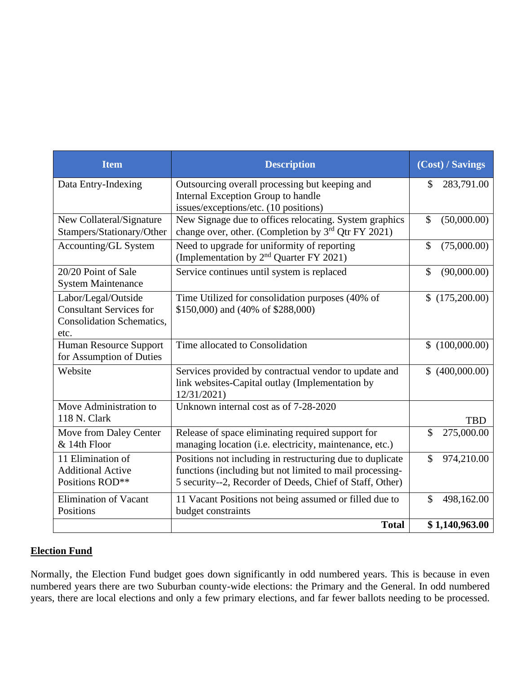| <b>Item</b>                                                                                | <b>Description</b>                                                                                                                                                                | (Cost) / Savings             |
|--------------------------------------------------------------------------------------------|-----------------------------------------------------------------------------------------------------------------------------------------------------------------------------------|------------------------------|
| Data Entry-Indexing                                                                        | Outsourcing overall processing but keeping and<br>Internal Exception Group to handle<br>issues/exceptions/etc. (10 positions)                                                     | S<br>283,791.00              |
| New Collateral/Signature<br>Stampers/Stationary/Other                                      | New Signage due to offices relocating. System graphics<br>change over, other. (Completion by $3rd$ Qtr FY 2021)                                                                   | $\mathcal{S}$<br>(50,000.00) |
| Accounting/GL System                                                                       | Need to upgrade for uniformity of reporting<br>(Implementation by 2 <sup>nd</sup> Quarter FY 2021)                                                                                | \$<br>(75,000.00)            |
| 20/20 Point of Sale<br><b>System Maintenance</b>                                           | Service continues until system is replaced                                                                                                                                        | \$<br>(90,000.00)            |
| Labor/Legal/Outside<br><b>Consultant Services for</b><br>Consolidation Schematics,<br>etc. | Time Utilized for consolidation purposes (40% of<br>\$150,000) and (40% of \$288,000)                                                                                             | \$(175,200.00)               |
| Human Resource Support<br>for Assumption of Duties                                         | Time allocated to Consolidation                                                                                                                                                   | (100,000.00)<br>\$           |
| Website                                                                                    | Services provided by contractual vendor to update and<br>link websites-Capital outlay (Implementation by<br>12/31/2021)                                                           | (400,000.00)<br>\$           |
| Move Administration to<br>118 N. Clark                                                     | Unknown internal cost as of 7-28-2020                                                                                                                                             | <b>TBD</b>                   |
| Move from Daley Center<br>& 14th Floor                                                     | Release of space eliminating required support for<br>managing location (i.e. electricity, maintenance, etc.)                                                                      | 275,000.00<br>\$             |
| 11 Elimination of<br><b>Additional Active</b><br>Positions ROD**                           | Positions not including in restructuring due to duplicate<br>functions (including but not limited to mail processing-<br>5 security--2, Recorder of Deeds, Chief of Staff, Other) | $\mathcal{S}$<br>974,210.00  |
| Elimination of Vacant<br>Positions                                                         | 11 Vacant Positions not being assumed or filled due to<br>budget constraints                                                                                                      | \$<br>498,162.00             |
|                                                                                            | <b>Total</b>                                                                                                                                                                      | \$1,140,963.00               |

# **Election Fund**

Normally, the Election Fund budget goes down significantly in odd numbered years. This is because in even numbered years there are two Suburban county-wide elections: the Primary and the General. In odd numbered years, there are local elections and only a few primary elections, and far fewer ballots needing to be processed.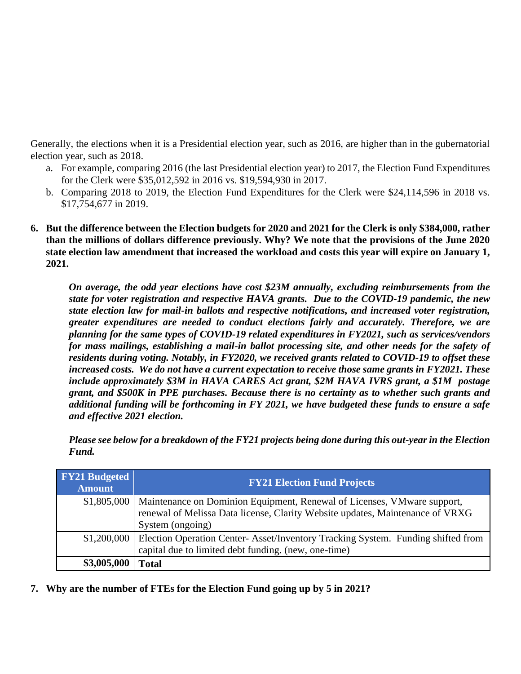Generally, the elections when it is a Presidential election year, such as 2016, are higher than in the gubernatorial election year, such as 2018.

- a. For example, comparing 2016 (the last Presidential election year) to 2017, the Election Fund Expenditures for the Clerk were \$35,012,592 in 2016 vs. \$19,594,930 in 2017.
- b. Comparing 2018 to 2019, the Election Fund Expenditures for the Clerk were \$24,114,596 in 2018 vs. \$17,754,677 in 2019.
- **6. But the difference between the Election budgets for 2020 and 2021 for the Clerk is only \$384,000, rather than the millions of dollars difference previously. Why? We note that the provisions of the June 2020 state election law amendment that increased the workload and costs this year will expire on January 1, 2021.**

*On average, the odd year elections have cost \$23M annually, excluding reimbursements from the state for voter registration and respective HAVA grants. Due to the COVID-19 pandemic, the new state election law for mail-in ballots and respective notifications, and increased voter registration, greater expenditures are needed to conduct elections fairly and accurately. Therefore, we are planning for the same types of COVID-19 related expenditures in FY2021, such as services/vendors for mass mailings, establishing a mail-in ballot processing site, and other needs for the safety of residents during voting. Notably, in FY2020, we received grants related to COVID-19 to offset these increased costs. We do not have a current expectation to receive those same grants in FY2021. These include approximately \$3M in HAVA CARES Act grant, \$2M HAVA IVRS grant, a \$1M postage grant, and \$500K in PPE purchases. Because there is no certainty as to whether such grants and additional funding will be forthcoming in FY 2021, we have budgeted these funds to ensure a safe and effective 2021 election.* 

*Please see below for a breakdown of the FY21 projects being done during this out-year in the Election Fund.*

| <b>FY21 Budgeted</b><br><b>Amount</b> | <b>FY21 Election Fund Projects</b>                                                                                                                                     |
|---------------------------------------|------------------------------------------------------------------------------------------------------------------------------------------------------------------------|
|                                       | \$1,805,000   Maintenance on Dominion Equipment, Renewal of Licenses, VMware support,<br>renewal of Melissa Data license, Clarity Website updates, Maintenance of VRXG |
|                                       | System (ongoing)                                                                                                                                                       |
|                                       | \$1,200,000   Election Operation Center- Asset/Inventory Tracking System. Funding shifted from<br>capital due to limited debt funding. (new, one-time)                 |
| \$3,005,000                           | <b>Total</b>                                                                                                                                                           |

**7. Why are the number of FTEs for the Election Fund going up by 5 in 2021?**